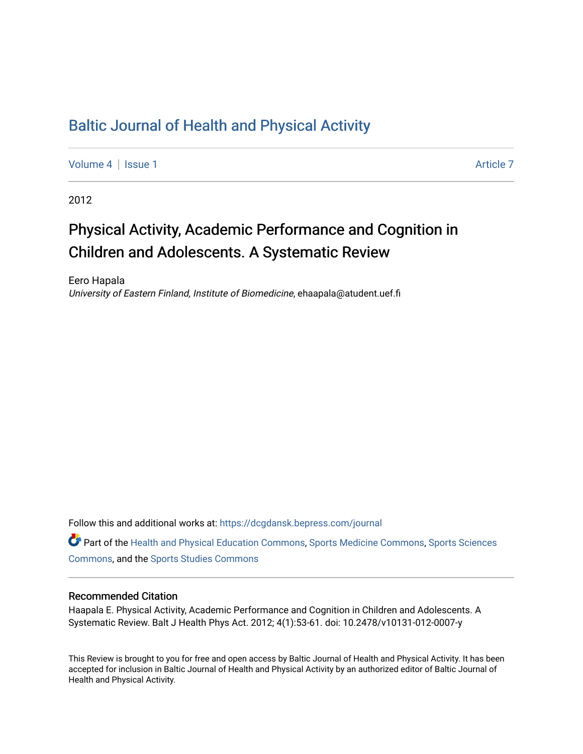# [Baltic Journal of Health and Physical Activity](https://dcgdansk.bepress.com/journal)

[Volume 4](https://dcgdansk.bepress.com/journal/vol4) | [Issue 1](https://dcgdansk.bepress.com/journal/vol4/iss1) Article 7

2012

# Physical Activity, Academic Performance and Cognition in Children and Adolescents. A Systematic Review

Eero Hapala University of Eastern Finland, Institute of Biomedicine, ehaapala@atudent.uef.fi

Follow this and additional works at: [https://dcgdansk.bepress.com/journal](https://dcgdansk.bepress.com/journal?utm_source=dcgdansk.bepress.com%2Fjournal%2Fvol4%2Fiss1%2F7&utm_medium=PDF&utm_campaign=PDFCoverPages)

Part of the [Health and Physical Education Commons](http://network.bepress.com/hgg/discipline/1327?utm_source=dcgdansk.bepress.com%2Fjournal%2Fvol4%2Fiss1%2F7&utm_medium=PDF&utm_campaign=PDFCoverPages), [Sports Medicine Commons,](http://network.bepress.com/hgg/discipline/1331?utm_source=dcgdansk.bepress.com%2Fjournal%2Fvol4%2Fiss1%2F7&utm_medium=PDF&utm_campaign=PDFCoverPages) [Sports Sciences](http://network.bepress.com/hgg/discipline/759?utm_source=dcgdansk.bepress.com%2Fjournal%2Fvol4%2Fiss1%2F7&utm_medium=PDF&utm_campaign=PDFCoverPages) [Commons](http://network.bepress.com/hgg/discipline/759?utm_source=dcgdansk.bepress.com%2Fjournal%2Fvol4%2Fiss1%2F7&utm_medium=PDF&utm_campaign=PDFCoverPages), and the [Sports Studies Commons](http://network.bepress.com/hgg/discipline/1198?utm_source=dcgdansk.bepress.com%2Fjournal%2Fvol4%2Fiss1%2F7&utm_medium=PDF&utm_campaign=PDFCoverPages) 

#### Recommended Citation

Haapala E. Physical Activity, Academic Performance and Cognition in Children and Adolescents. A Systematic Review. Balt J Health Phys Act. 2012; 4(1):53-61. doi: 10.2478/v10131-012-0007-y

This Review is brought to you for free and open access by Baltic Journal of Health and Physical Activity. It has been accepted for inclusion in Baltic Journal of Health and Physical Activity by an authorized editor of Baltic Journal of Health and Physical Activity.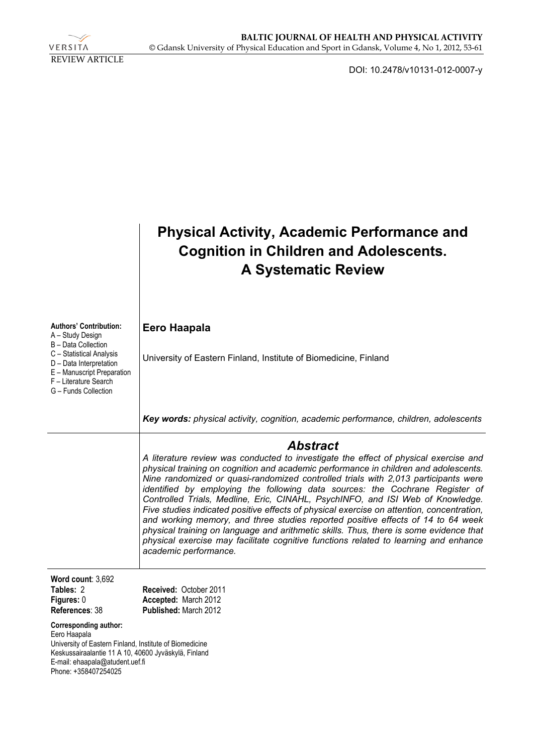

DOI: 10.2478/v10131-012-0007-y

|                                                                                                                                                                                                                                                               | <b>Physical Activity, Academic Performance and</b><br><b>Cognition in Children and Adolescents.</b><br><b>A Systematic Review</b>                                                                                                                                                                                                                                                                                                                                                                                                                                                                                                                                                                                                                                                                                                            |
|---------------------------------------------------------------------------------------------------------------------------------------------------------------------------------------------------------------------------------------------------------------|----------------------------------------------------------------------------------------------------------------------------------------------------------------------------------------------------------------------------------------------------------------------------------------------------------------------------------------------------------------------------------------------------------------------------------------------------------------------------------------------------------------------------------------------------------------------------------------------------------------------------------------------------------------------------------------------------------------------------------------------------------------------------------------------------------------------------------------------|
| <b>Authors' Contribution:</b><br>A – Study Design<br>B - Data Collection<br>C - Statistical Analysis<br>D - Data Interpretation<br>E - Manuscript Preparation<br>F - Literature Search<br>G - Funds Collection                                                | Eero Haapala<br>University of Eastern Finland, Institute of Biomedicine, Finland                                                                                                                                                                                                                                                                                                                                                                                                                                                                                                                                                                                                                                                                                                                                                             |
|                                                                                                                                                                                                                                                               | Key words: physical activity, cognition, academic performance, children, adolescents                                                                                                                                                                                                                                                                                                                                                                                                                                                                                                                                                                                                                                                                                                                                                         |
|                                                                                                                                                                                                                                                               | Abstract<br>A literature review was conducted to investigate the effect of physical exercise and<br>physical training on cognition and academic performance in children and adolescents.<br>Nine randomized or quasi-randomized controlled trials with 2,013 participants were<br>identified by employing the following data sources: the Cochrane Register of<br>Controlled Trials, Medline, Eric, CINAHL, PsychINFO, and ISI Web of Knowledge.<br>Five studies indicated positive effects of physical exercise on attention, concentration,<br>and working memory, and three studies reported positive effects of 14 to 64 week<br>physical training on language and arithmetic skills. Thus, there is some evidence that<br>physical exercise may facilitate cognitive functions related to learning and enhance<br>academic performance. |
| Word count: 3,692<br>Tables: 2<br>Figures: 0<br>References: 38<br>Corresponding author:<br>Eero Haapala<br>University of Eastern Finland, Institute of Biomedicine<br>Keskussairaalantie 11 A 10, 40600 Jyväskylä, Finland<br>E-mail: ehaapala@atudent.uef.fi | Received: October 2011<br>Accepted: March 2012<br>Published: March 2012                                                                                                                                                                                                                                                                                                                                                                                                                                                                                                                                                                                                                                                                                                                                                                      |

Phone: +358407254025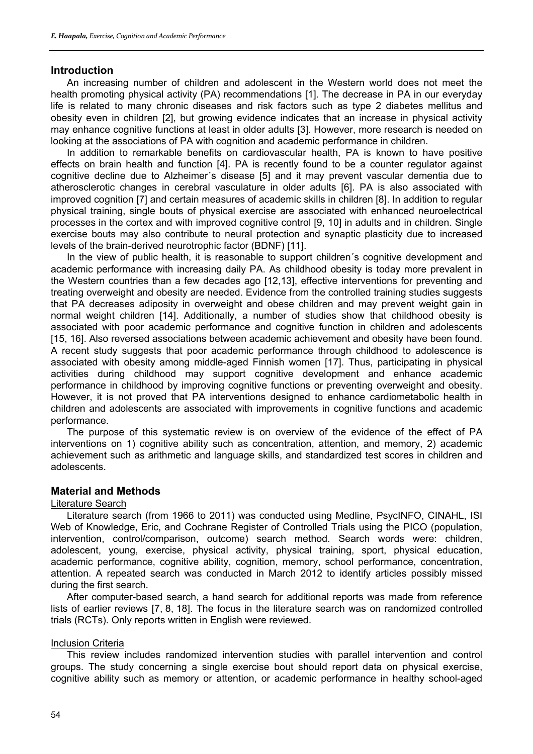#### **Introduction**

An increasing number of children and adolescent in the Western world does not meet the health promoting physical activity (PA) recommendations [1]. The decrease in PA in our everyday life is related to many chronic diseases and risk factors such as type 2 diabetes mellitus and obesity even in children [2], but growing evidence indicates that an increase in physical activity may enhance cognitive functions at least in older adults [3]. However, more research is needed on looking at the associations of PA with cognition and academic performance in children.

In addition to remarkable benefits on cardiovascular health, PA is known to have positive effects on brain health and function [4]. PA is recently found to be a counter regulator against cognitive decline due to Alzheimer´s disease [5] and it may prevent vascular dementia due to atherosclerotic changes in cerebral vasculature in older adults [6]. PA is also associated with improved cognition [7] and certain measures of academic skills in children [8]. In addition to regular physical training, single bouts of physical exercise are associated with enhanced neuroelectrical processes in the cortex and with improved cognitive control [9, 10] in adults and in children. Single exercise bouts may also contribute to neural protection and synaptic plasticity due to increased levels of the brain-derived neurotrophic factor (BDNF) [11].

In the view of public health, it is reasonable to support children´s cognitive development and academic performance with increasing daily PA. As childhood obesity is today more prevalent in the Western countries than a few decades ago [12,13], effective interventions for preventing and treating overweight and obesity are needed. Evidence from the controlled training studies suggests that PA decreases adiposity in overweight and obese children and may prevent weight gain in normal weight children [14]. Additionally, a number of studies show that childhood obesity is associated with poor academic performance and cognitive function in children and adolescents [15, 16]. Also reversed associations between academic achievement and obesity have been found. A recent study suggests that poor academic performance through childhood to adolescence is associated with obesity among middle-aged Finnish women [17]. Thus, participating in physical activities during childhood may support cognitive development and enhance academic performance in childhood by improving cognitive functions or preventing overweight and obesity. However, it is not proved that PA interventions designed to enhance cardiometabolic health in children and adolescents are associated with improvements in cognitive functions and academic performance.

The purpose of this systematic review is on overview of the evidence of the effect of PA interventions on 1) cognitive ability such as concentration, attention, and memory, 2) academic achievement such as arithmetic and language skills, and standardized test scores in children and adolescents.

#### **Material and Methods**

#### Literature Search

Literature search (from 1966 to 2011) was conducted using Medline, PsycINFO, CINAHL, ISI Web of Knowledge, Eric, and Cochrane Register of Controlled Trials using the PICO (population, intervention, control/comparison, outcome) search method. Search words were: children, adolescent, young, exercise, physical activity, physical training, sport, physical education, academic performance, cognitive ability, cognition, memory, school performance, concentration, attention. A repeated search was conducted in March 2012 to identify articles possibly missed during the first search.

After computer-based search, a hand search for additional reports was made from reference lists of earlier reviews [7, 8, 18]. The focus in the literature search was on randomized controlled trials (RCTs). Only reports written in English were reviewed.

#### Inclusion Criteria

This review includes randomized intervention studies with parallel intervention and control groups. The study concerning a single exercise bout should report data on physical exercise, cognitive ability such as memory or attention, or academic performance in healthy school-aged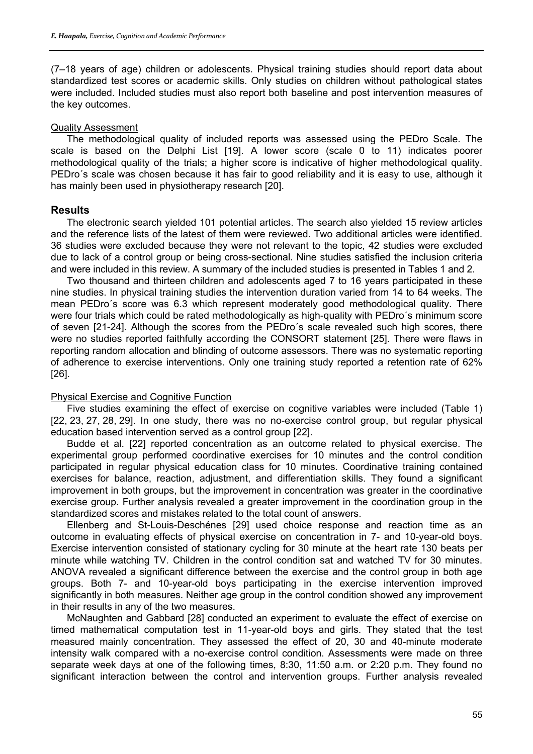(7–18 years of age) children or adolescents. Physical training studies should report data about standardized test scores or academic skills. Only studies on children without pathological states were included. Included studies must also report both baseline and post intervention measures of the key outcomes.

#### Quality Assessment

The methodological quality of included reports was assessed using the PEDro Scale. The scale is based on the Delphi List [19]. A lower score (scale 0 to 11) indicates poorer methodological quality of the trials; a higher score is indicative of higher methodological quality. PEDro´s scale was chosen because it has fair to good reliability and it is easy to use, although it has mainly been used in physiotherapy research [20].

#### **Results**

The electronic search yielded 101 potential articles. The search also yielded 15 review articles and the reference lists of the latest of them were reviewed. Two additional articles were identified. 36 studies were excluded because they were not relevant to the topic, 42 studies were excluded due to lack of a control group or being cross-sectional. Nine studies satisfied the inclusion criteria and were included in this review. A summary of the included studies is presented in Tables 1 and 2.

Two thousand and thirteen children and adolescents aged 7 to 16 years participated in these nine studies. In physical training studies the intervention duration varied from 14 to 64 weeks. The mean PEDro´s score was 6.3 which represent moderately good methodological quality. There were four trials which could be rated methodologically as high-quality with PEDro´s minimum score of seven [21-24]. Although the scores from the PEDro´s scale revealed such high scores, there were no studies reported faithfully according the CONSORT statement [25]. There were flaws in reporting random allocation and blinding of outcome assessors. There was no systematic reporting of adherence to exercise interventions. Only one training study reported a retention rate of 62% [26].

#### Physical Exercise and Cognitive Function

Five studies examining the effect of exercise on cognitive variables were included (Table 1) [22, 23, 27, 28, 29]. In one study, there was no no-exercise control group, but regular physical education based intervention served as a control group [22].

Budde et al. [22] reported concentration as an outcome related to physical exercise. The experimental group performed coordinative exercises for 10 minutes and the control condition participated in regular physical education class for 10 minutes. Coordinative training contained exercises for balance, reaction, adjustment, and differentiation skills. They found a significant improvement in both groups, but the improvement in concentration was greater in the coordinative exercise group. Further analysis revealed a greater improvement in the coordination group in the standardized scores and mistakes related to the total count of answers.

Ellenberg and St-Louis-Deschénes [29] used choice response and reaction time as an outcome in evaluating effects of physical exercise on concentration in 7- and 10-year-old boys. Exercise intervention consisted of stationary cycling for 30 minute at the heart rate 130 beats per minute while watching TV. Children in the control condition sat and watched TV for 30 minutes. ANOVA revealed a significant difference between the exercise and the control group in both age groups. Both 7- and 10-year-old boys participating in the exercise intervention improved significantly in both measures. Neither age group in the control condition showed any improvement in their results in any of the two measures.

McNaughten and Gabbard [28] conducted an experiment to evaluate the effect of exercise on timed mathematical computation test in 11-year-old boys and girls. They stated that the test measured mainly concentration. They assessed the effect of 20, 30 and 40-minute moderate intensity walk compared with a no-exercise control condition. Assessments were made on three separate week days at one of the following times, 8:30, 11:50 a.m. or 2:20 p.m. They found no significant interaction between the control and intervention groups. Further analysis revealed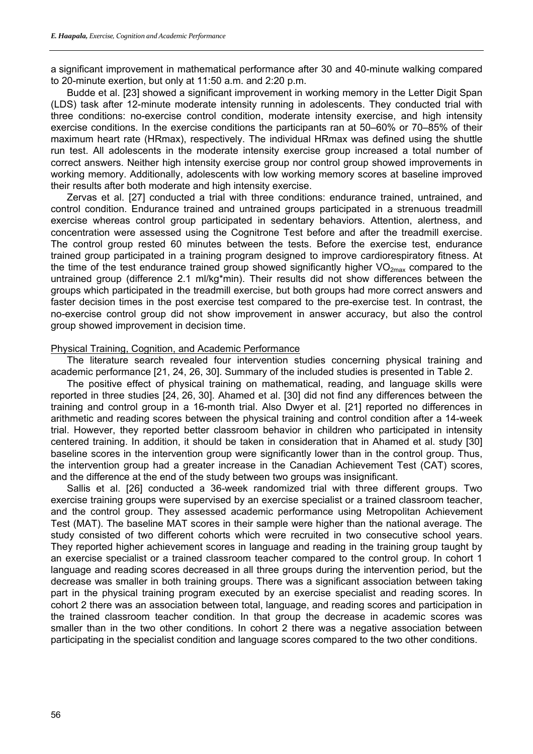a significant improvement in mathematical performance after 30 and 40-minute walking compared to 20-minute exertion, but only at 11:50 a.m. and 2:20 p.m.

Budde et al. [23] showed a significant improvement in working memory in the Letter Digit Span (LDS) task after 12-minute moderate intensity running in adolescents. They conducted trial with three conditions: no-exercise control condition, moderate intensity exercise, and high intensity exercise conditions. In the exercise conditions the participants ran at 50–60% or 70–85% of their maximum heart rate (HRmax), respectively. The individual HRmax was defined using the shuttle run test. All adolescents in the moderate intensity exercise group increased a total number of correct answers. Neither high intensity exercise group nor control group showed improvements in working memory. Additionally, adolescents with low working memory scores at baseline improved their results after both moderate and high intensity exercise.

Zervas et al. [27] conducted a trial with three conditions: endurance trained, untrained, and control condition. Endurance trained and untrained groups participated in a strenuous treadmill exercise whereas control group participated in sedentary behaviors. Attention, alertness, and concentration were assessed using the Cognitrone Test before and after the treadmill exercise. The control group rested 60 minutes between the tests. Before the exercise test, endurance trained group participated in a training program designed to improve cardiorespiratory fitness. At the time of the test endurance trained group showed significantly higher  $VO_{2max}$  compared to the untrained group (difference 2.1 ml/kg\*min). Their results did not show differences between the groups which participated in the treadmill exercise, but both groups had more correct answers and faster decision times in the post exercise test compared to the pre-exercise test. In contrast, the no-exercise control group did not show improvement in answer accuracy, but also the control group showed improvement in decision time.

#### Physical Training, Cognition, and Academic Performance

The literature search revealed four intervention studies concerning physical training and academic performance [21, 24, 26, 30]. Summary of the included studies is presented in Table 2.

The positive effect of physical training on mathematical, reading, and language skills were reported in three studies [24, 26, 30]. Ahamed et al. [30] did not find any differences between the training and control group in a 16-month trial. Also Dwyer et al. [21] reported no differences in arithmetic and reading scores between the physical training and control condition after a 14-week trial. However, they reported better classroom behavior in children who participated in intensity centered training. In addition, it should be taken in consideration that in Ahamed et al. study [30] baseline scores in the intervention group were significantly lower than in the control group. Thus, the intervention group had a greater increase in the Canadian Achievement Test (CAT) scores, and the difference at the end of the study between two groups was insignificant.

Sallis et al. [26] conducted a 36-week randomized trial with three different groups. Two exercise training groups were supervised by an exercise specialist or a trained classroom teacher, and the control group. They assessed academic performance using Metropolitan Achievement Test (MAT). The baseline MAT scores in their sample were higher than the national average. The study consisted of two different cohorts which were recruited in two consecutive school years. They reported higher achievement scores in language and reading in the training group taught by an exercise specialist or a trained classroom teacher compared to the control group. In cohort 1 language and reading scores decreased in all three groups during the intervention period, but the decrease was smaller in both training groups. There was a significant association between taking part in the physical training program executed by an exercise specialist and reading scores. In cohort 2 there was an association between total, language, and reading scores and participation in the trained classroom teacher condition. In that group the decrease in academic scores was smaller than in the two other conditions. In cohort 2 there was a negative association between participating in the specialist condition and language scores compared to the two other conditions.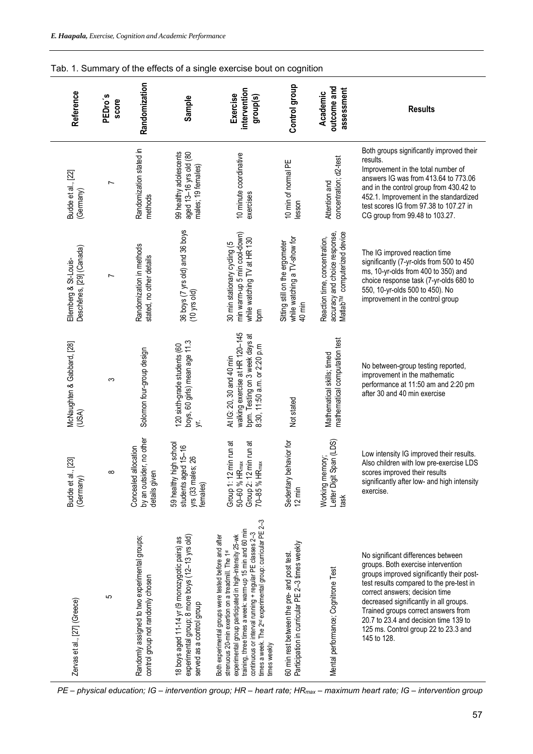| Tab. 1. Summary of the effects of a single exercise bout on cognition |                  |                                                                                    |                                                                                                                                |                                                                                                                                                                                                                                                                                                                                                                                        |                                                                                                |                                                                                                            |                                                                                                                                                                                                                                                                                                                                                                                      |
|-----------------------------------------------------------------------|------------------|------------------------------------------------------------------------------------|--------------------------------------------------------------------------------------------------------------------------------|----------------------------------------------------------------------------------------------------------------------------------------------------------------------------------------------------------------------------------------------------------------------------------------------------------------------------------------------------------------------------------------|------------------------------------------------------------------------------------------------|------------------------------------------------------------------------------------------------------------|--------------------------------------------------------------------------------------------------------------------------------------------------------------------------------------------------------------------------------------------------------------------------------------------------------------------------------------------------------------------------------------|
| Reference                                                             | PEDro's<br>score | Randomization                                                                      | Sample                                                                                                                         | intervention<br>Exercise<br>group(s)                                                                                                                                                                                                                                                                                                                                                   | Control group                                                                                  | outcome and<br>assessment<br>Academic                                                                      | <b>Results</b>                                                                                                                                                                                                                                                                                                                                                                       |
| Budde et al., [22]<br>(Germany)                                       | $\overline{ }$   | Randomization stated in<br>methods                                                 | 99 healthy adolescents<br>aged 13-16 yrs old (80<br>males; 19 females)                                                         | 10 minute coordinative<br>exercises                                                                                                                                                                                                                                                                                                                                                    | 10 min of normal PE<br>lesson                                                                  | concentration; d2-test<br>Attention and                                                                    | Both groups significantly improved their<br>results.<br>Improvement in the total number of<br>answers IG was from 413.64 to 773.06<br>and in the control group from 430.42 to<br>452.1. Improvement in the standardized<br>test scores IG from 97.38 to 107.27 in<br>CG group from 99.48 to 103.27.                                                                                  |
| Deschênes, [29] (Canada)<br>Ellemberg & St-Louis-                     | $\overline{ }$   | Randomization in methods<br>stated, no other details                               | 36 boys (7 yrs old) and 36 boys<br>(10 yrs old)                                                                                | min warm-up 5 min cool-down)<br>while watching TV at HR 130<br>30 min stationary cycling (5<br>bpm                                                                                                                                                                                                                                                                                     | while watching a TV-show for<br>Sitting still on the ergometer<br>40 min                       | accuracy and choice response,<br>Matlab <sup>TM</sup> computerized device<br>Reaction time, concentration, | The IG improved reaction time<br>significantly (7-yr-olds from 500 to 450<br>ms, 10-yr-olds from 400 to 350) and<br>choice response task (7-yr-olds 680 to<br>550, 10-yr-olds 500 to 450). No<br>improvement in the control group                                                                                                                                                    |
| McNaughten & Gabbard, [28]<br>(USA)                                   | က                | Solomon four-group design                                                          | boys, 60 girls) mean age 11.3<br>120 sixth-grade students (60<br>$\zeta$                                                       | walking exercise at HR 120-145<br>bpm. Testing on 3 week days at<br>8:30, 11:50 a.m. or 2:20 p.m<br>At IG: 20, 30 and 40 min                                                                                                                                                                                                                                                           | Not stated                                                                                     | mathematical computation test<br>Mathematical skills; timed                                                | No between-group testing reported,<br>improvement in the mathematic<br>performance at 11:50 am and 2:20 pm<br>after 30 and 40 min exercise                                                                                                                                                                                                                                           |
| Budde et al., [23]<br>(Germany)                                       | $\infty$         | no other<br>Concealed allocation<br>by an outsider<br>details given                | ih school<br>students aged 15-16<br>26<br>59 healthy hig<br>yrs (33 males;<br>females)                                         | Group 1: 12 min run at<br>Group 2: 12 min run at<br>70–85 % HR <sub>max</sub><br>50-60 % HR <sub>max</sub>                                                                                                                                                                                                                                                                             | avior for<br>Sedentary beh<br>$12 \text{ min}$                                                 | Letter Digit Span (LDS)<br>Working memory;<br>task                                                         | Low intensity IG improved their results.<br>Also children with low pre-exercise LDS<br>scores improved their results<br>significantly after low- and high intensity<br>exercise.                                                                                                                                                                                                     |
| Zervas et al., [27] (Greece)                                          | 5                | Randomly assigned to two experimental groups;<br>control group not randomly chosen | experimental group; 8 more boys (12-13 yrs old)<br>18 boys aged 11-14 yr (9 monozygotic pairs) as<br>served as a control group | times a week. The 2 <sup>nd</sup> experimental group: curricular PE 2-3<br>training, three times a week: warm-up 15 min and 60 min<br>continuous or interval running + regular PE classes 2-3<br>experimental group participated in high-intensity 25-wk<br>Both experimental groups were tested before and after<br>strenuous 20-min exertion on a treadmill. The 1st<br>times weekly | 60 min rest between the pre- and post test.<br>Participation in curricular PE 2–3 times weekly | Mental performance; Cognitrone Test                                                                        | No significant differences between<br>groups. Both exercise intervention<br>groups improved significantly their post-<br>test results compared to the pre-test in<br>correct answers; decision time<br>decreased significantly in all groups.<br>Trained groups correct answers from<br>20.7 to 23.4 and decision time 139 to<br>125 ms. Control group 22 to 23.3 and<br>145 to 128. |

*PE – physical education; IG – intervention group; HR – heart rate; HRmax – maximum heart rate; IG – intervention group*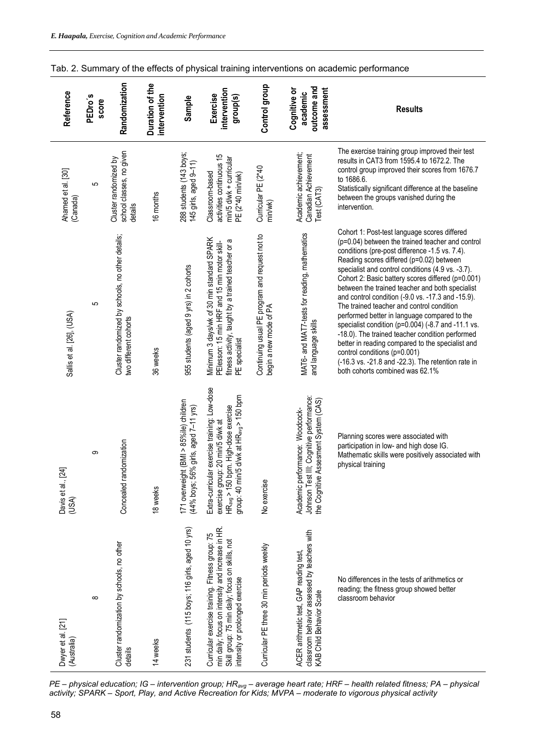| Reference                        | PEDro's<br>score | Randomization                                                             | Duration of the<br>intervention | Sample                                                                         | intervention<br><b>Exercise</b><br>group(s)                                                                                                                                                    | Control group                                                            | outcome and<br>assessment<br>Cognitive or<br>academic                                                                  | <b>Results</b>                                                                                                                                                                                                                                                                                                                                                                                                                                                                                                                                                                                                                                                                                                                                                                                      |
|----------------------------------|------------------|---------------------------------------------------------------------------|---------------------------------|--------------------------------------------------------------------------------|------------------------------------------------------------------------------------------------------------------------------------------------------------------------------------------------|--------------------------------------------------------------------------|------------------------------------------------------------------------------------------------------------------------|-----------------------------------------------------------------------------------------------------------------------------------------------------------------------------------------------------------------------------------------------------------------------------------------------------------------------------------------------------------------------------------------------------------------------------------------------------------------------------------------------------------------------------------------------------------------------------------------------------------------------------------------------------------------------------------------------------------------------------------------------------------------------------------------------------|
| Ahamed et al. [30]<br>(Canada)   | 5                | school classes, no given<br>Cluster randomized by<br>details              | 16 months                       | 288 students (143 boys;<br>145 girls, aged 9-11)                               | activities continuous 15<br>min/5 d/wk + curricular<br>Classroom-based<br>PE (2*40 min/wk)                                                                                                     | Curricular PE (2*40<br>min/wk)                                           | Academic achievement;<br>Canadian Achievement<br>Test (CAT3)                                                           | The exercise training group improved their test<br>results in CAT3 from 1595.4 to 1672.2. The<br>control group improved their scores from 1676.7<br>to 1686.6.<br>Statistically significant difference at the baseline<br>between the groups vanished during the<br>intervention.                                                                                                                                                                                                                                                                                                                                                                                                                                                                                                                   |
| Sallis et al. [26], (USA)        | 5                | Cluster randomized by schools, no other details;<br>two different cohorts | 36 weeks                        | 955 students (aged 9 yrs) in 2 cohorts                                         | Minimum 3 days/wk of 30 min standard SPARK<br>fitness activity, taught by a trained teacher or a<br>PElesson: 15 min HRF and 15 min motor skill-<br>PE specialist                              | Continuing usual PE program and request not to<br>begin a new mode of PA | MAT6- and MAT7-tests for reading, mathematics<br>and language skills                                                   | Cohort 1: Post-test language scores differed<br>(p=0.04) between the trained teacher and control<br>conditions (pre-post difference -1.5 vs. 7.4).<br>Reading scores differed (p=0.02) between<br>specialist and control conditions (4.9 vs. -3.7).<br>Cohort 2: Basic battery scores differed (p=0.001)<br>between the trained teacher and both specialist<br>and control condition (-9.0 vs. -17.3 and -15.9).<br>The trained teacher and control condition<br>performed better in language compared to the<br>specialist condition (p=0.004) (-8.7 and -11.1 vs.<br>-18.0). The trained teacher condition performed<br>better in reading compared to the specialist and<br>control conditions (p=0.001)<br>(-16.3 vs. -21.8 and -22.3). The retention rate in<br>both cohorts combined was 62.1% |
| Davis et al., [24]<br>(USA)      | တ                | ndomization<br>Concealed ra                                               | 18 weeks                        | 171 overweight (BMI > 85%ile) children<br>(44% boys; 56% girls, aged 7–11 yrs) | Extra-curricular exercise training: Low-dose<br>/5 d/wk at HR <sub>avg</sub> > 150 bpm<br>exercise group: 20 min/5 d/wk at<br>HR <sub>ava</sub> > 150 bpm. High-dose exercise<br>group: 40 min | No exercise                                                              | Johnson Test III; Cognitive performance:<br>Assesment System (CAS)<br>Academic performance: Woodcock-<br>the Cognitive | Planning scores were associated with<br>participation in low- and high dose IG.<br>Mathematic skills were positively associated with<br>physical training                                                                                                                                                                                                                                                                                                                                                                                                                                                                                                                                                                                                                                           |
| Dwyer et al. [21]<br>(Australia) | $\infty$         | Cluster randomization by schools, no other<br>details                     | 14 weeks                        | 231 students (115 boys; 116 girls, aged 10 yrs)                                | min daily; focus on intensity and increase in HR.<br>Curricular exercise training. Fitness group: 75<br>Skill group: 75 min daily; focus on skills, not<br>intensity or prolonged exercise     | Curricular PE three 30 min periods weekly                                | classroom behavior assessed by teachers with<br>ACER arithmetic test, GAP reading test,<br>KAB Child Behavior Scale    | No differences in the tests of arithmetics or<br>reading; the fitness group showed better<br>classroom behavior                                                                                                                                                                                                                                                                                                                                                                                                                                                                                                                                                                                                                                                                                     |

Tab. 2. Summary of the effects of physical training interventions on academic performance

*PE – physical education; IG – intervention group; HRavg – average heart rate; HRF – health related fitness; PA – physical activity; SPARK – Sport, Play, and Active Recreation for Kids; MVPA – moderate to vigorous physical activity*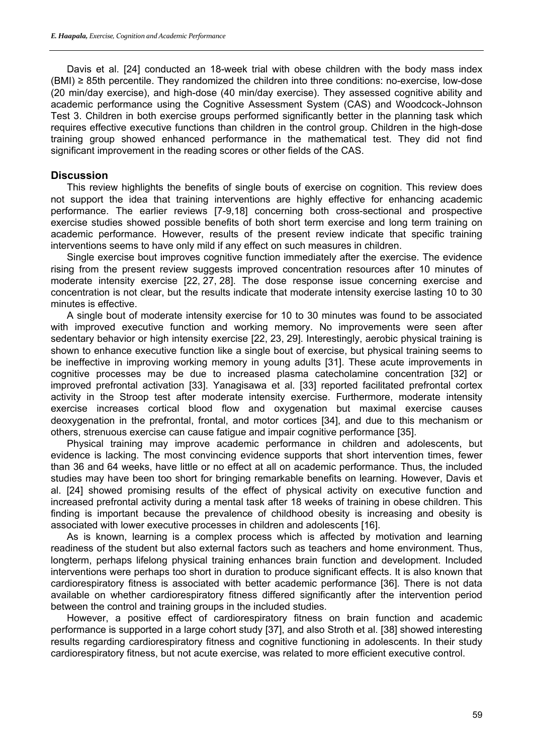Davis et al. [24] conducted an 18-week trial with obese children with the body mass index (BMI) ≥ 85th percentile. They randomized the children into three conditions: no-exercise, low-dose (20 min/day exercise), and high-dose (40 min/day exercise). They assessed cognitive ability and academic performance using the Cognitive Assessment System (CAS) and Woodcock-Johnson Test 3. Children in both exercise groups performed significantly better in the planning task which requires effective executive functions than children in the control group. Children in the high-dose training group showed enhanced performance in the mathematical test. They did not find significant improvement in the reading scores or other fields of the CAS.

#### **Discussion**

This review highlights the benefits of single bouts of exercise on cognition. This review does not support the idea that training interventions are highly effective for enhancing academic performance. The earlier reviews [7-9,18] concerning both cross-sectional and prospective exercise studies showed possible benefits of both short term exercise and long term training on academic performance. However, results of the present review indicate that specific training interventions seems to have only mild if any effect on such measures in children.

Single exercise bout improves cognitive function immediately after the exercise. The evidence rising from the present review suggests improved concentration resources after 10 minutes of moderate intensity exercise [22, 27, 28]. The dose response issue concerning exercise and concentration is not clear, but the results indicate that moderate intensity exercise lasting 10 to 30 minutes is effective.

A single bout of moderate intensity exercise for 10 to 30 minutes was found to be associated with improved executive function and working memory. No improvements were seen after sedentary behavior or high intensity exercise [22, 23, 29]. Interestingly, aerobic physical training is shown to enhance executive function like a single bout of exercise, but physical training seems to be ineffective in improving working memory in young adults [31]. These acute improvements in cognitive processes may be due to increased plasma catecholamine concentration [32] or improved prefrontal activation [33]. Yanagisawa et al. [33] reported facilitated prefrontal cortex activity in the Stroop test after moderate intensity exercise. Furthermore, moderate intensity exercise increases cortical blood flow and oxygenation but maximal exercise causes deoxygenation in the prefrontal, frontal, and motor cortices [34], and due to this mechanism or others, strenuous exercise can cause fatigue and impair cognitive performance [35].

Physical training may improve academic performance in children and adolescents, but evidence is lacking. The most convincing evidence supports that short intervention times, fewer than 36 and 64 weeks, have little or no effect at all on academic performance. Thus, the included studies may have been too short for bringing remarkable benefits on learning. However, Davis et al. [24] showed promising results of the effect of physical activity on executive function and increased prefrontal activity during a mental task after 18 weeks of training in obese children. This finding is important because the prevalence of childhood obesity is increasing and obesity is associated with lower executive processes in children and adolescents [16].

As is known, learning is a complex process which is affected by motivation and learning readiness of the student but also external factors such as teachers and home environment. Thus, longterm, perhaps lifelong physical training enhances brain function and development. Included interventions were perhaps too short in duration to produce significant effects. It is also known that cardiorespiratory fitness is associated with better academic performance [36]. There is not data available on whether cardiorespiratory fitness differed significantly after the intervention period between the control and training groups in the included studies.

However, a positive effect of cardiorespiratory fitness on brain function and academic performance is supported in a large cohort study [37], and also Stroth et al. [38] showed interesting results regarding cardiorespiratory fitness and cognitive functioning in adolescents. In their study cardiorespiratory fitness, but not acute exercise, was related to more efficient executive control.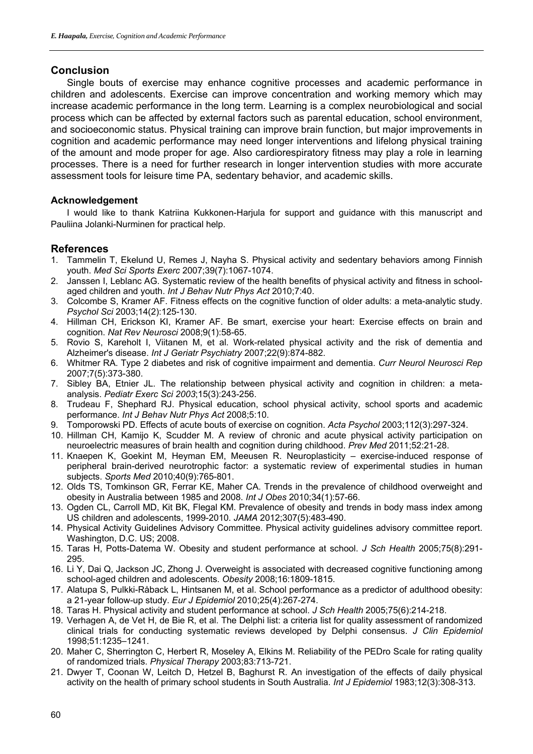## **Conclusion**

Single bouts of exercise may enhance cognitive processes and academic performance in children and adolescents. Exercise can improve concentration and working memory which may increase academic performance in the long term. Learning is a complex neurobiological and social process which can be affected by external factors such as parental education, school environment, and socioeconomic status. Physical training can improve brain function, but major improvements in cognition and academic performance may need longer interventions and lifelong physical training of the amount and mode proper for age. Also cardiorespiratory fitness may play a role in learning processes. There is a need for further research in longer intervention studies with more accurate assessment tools for leisure time PA, sedentary behavior, and academic skills.

#### **Acknowledgement**

I would like to thank Katriina Kukkonen-Harjula for support and guidance with this manuscript and Pauliina Jolanki-Nurminen for practical help.

### **References**

- 1. Tammelin T, Ekelund U, Remes J, Nayha S. Physical activity and sedentary behaviors among Finnish youth. *Med Sci Sports Exerc* 2007;39(7):1067-1074.
- 2. Janssen I, Leblanc AG. Systematic review of the health benefits of physical activity and fitness in schoolaged children and youth. *Int J Behav Nutr Phys Act* 2010;7:40.
- 3. Colcombe S, Kramer AF. Fitness effects on the cognitive function of older adults: a meta-analytic study. *Psychol Sci* 2003;14(2):125-130.
- 4. Hillman CH, Erickson KI, Kramer AF. Be smart, exercise your heart: Exercise effects on brain and cognition. *Nat Rev Neurosci* 2008;9(1):58-65.
- 5. Rovio S, Kareholt I, Viitanen M, et al. Work-related physical activity and the risk of dementia and Alzheimer's disease. *Int J Geriatr Psychiatry* 2007;22(9):874-882.
- 6. Whitmer RA. Type 2 diabetes and risk of cognitive impairment and dementia. *Curr Neurol Neurosci Rep* 2007;7(5):373-380.
- 7. Sibley BA, Etnier JL. The relationship between physical activity and cognition in children: a metaanalysis. *Pediatr Exerc Sci 2003*;15(3):243-256.
- 8. Trudeau F, Shephard RJ. Physical education, school physical activity, school sports and academic performance. *Int J Behav Nutr Phys Act* 2008;5:10.
- 9. Tomporowski PD. Effects of acute bouts of exercise on cognition. *Acta Psychol* 2003;112(3):297-324.
- 10. Hillman CH, Kamijo K, Scudder M. A review of chronic and acute physical activity participation on neuroelectric measures of brain health and cognition during childhood. *Prev Med* 2011;52:21-28.
- 11. Knaepen K, Goekint M, Heyman EM, Meeusen R. Neuroplasticity exercise-induced response of peripheral brain-derived neurotrophic factor: a systematic review of experimental studies in human subjects. *Sports Med* 2010;40(9):765-801.
- 12. Olds TS, Tomkinson GR, Ferrar KE, Maher CA. Trends in the prevalence of childhood overweight and obesity in Australia between 1985 and 2008. *Int J Obes* 2010;34(1):57-66.
- 13. Ogden CL, Carroll MD, Kit BK, Flegal KM. Prevalence of obesity and trends in body mass index among US children and adolescents, 1999-2010. *JAMA* 2012;307(5):483-490.
- 14. Physical Activity Guidelines Advisory Committee. Physical activity guidelines advisory committee report. Washington, D.C. US; 2008.
- 15. Taras H, Potts-Datema W. Obesity and student performance at school. *J Sch Health* 2005;75(8):291- 295.
- 16. Li Y, Dai Q, Jackson JC, Zhong J. Overweight is associated with decreased cognitive functioning among school-aged children and adolescents. *Obesity* 2008;16:1809-1815.
- 17. Alatupa S, Pulkki-Råback L, Hintsanen M, et al. School performance as a predictor of adulthood obesity: a 21-year follow-up study. *Eur J Epidemiol* 2010;25(4):267-274.
- 18. Taras H. Physical activity and student performance at school. *J Sch Health* 2005;75(6):214-218.
- 19. Verhagen A, de Vet H, de Bie R, et al. The Delphi list: a criteria list for quality assessment of randomized clinical trials for conducting systematic reviews developed by Delphi consensus. *J Clin Epidemiol* 1998;51:1235–1241.
- 20. Maher C, Sherrington C, Herbert R, Moseley A, Elkins M. Reliability of the PEDro Scale for rating quality of randomized trials. *Physical Therapy* 2003;83:713-721.
- 21. Dwyer T, Coonan W, Leitch D, Hetzel B, Baghurst R. An investigation of the effects of daily physical activity on the health of primary school students in South Australia. *Int J Epidemiol* 1983;12(3):308-313.